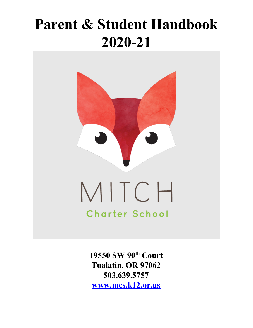# **Parent & Student Handbook 2020-21**



**19550 SW 90 th Court Tualatin, OR 97062 503.639.5757 [www.mcs.k12.or.us](http://www.mitchcharterschool.org/)**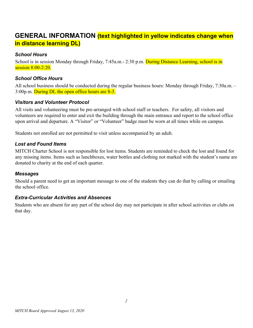# **GENERAL INFORMATION (text highlighted in yellow indicates change when in distance learning DL)**

#### *School Hours*

School is in session Monday through Friday, 7:45a.m. - 2:30 p.m. During Distance Learning, school is in session 8:00-2:20.

#### *School Office Hours*

All school business should be conducted during the regular business hours: Monday through Friday, 7:30a.m. – 3:00p.m. During DL the open office hours are 8-3.

#### *Visitors and Volunteer Protocol*

All visits and volunteering must be pre-arranged with school staff or teachers. For safety, all visitors and volunteers are required to enter and exit the building through the main entrance and report to the school office upon arrival and departure. A "Visitor" or "Volunteer" badge must be worn at all times while on campus.

Students not enrolled are not permitted to visit unless accompanied by an adult.

#### *Lost and Found Items*

MITCH Charter School is not responsible for lost items. Students are reminded to check the lost and found for any missing items. Items such as lunchboxes, water bottles and clothing not marked with the student's name are donated to charity at the end of each quarter.

#### *Messages*

Should a parent need to get an important message to one of the students they can do that by calling or emailing the school office.

#### *Extra-Curricular Activities and Absences*

Students who are absent for any part of the school day may not participate in after school activities or clubs on that day.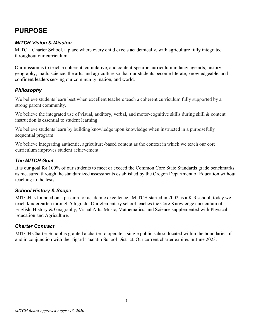# **PURPOSE**

# *MITCH Vision & Mission*

MITCH Charter School, a place where every child excels academically, with agriculture fully integrated throughout our curriculum.

Our mission is to teach a coherent, cumulative, and content-specific curriculum in language arts, history, geography, math, science, the arts, and agriculture so that our students become literate, knowledgeable, and confident leaders serving our community, nation, and world.

## *Philosophy*

We believe students learn best when excellent teachers teach a coherent curriculum fully supported by a strong parent community.

We believe the integrated use of visual, auditory, verbal, and motor-cognitive skills during skill & content instruction is essential to student learning.

We believe students learn by building knowledge upon knowledge when instructed in a purposefully sequential program.

We believe integrating authentic, agriculture-based content as the context in which we teach our core curriculum improves student achievement.

# *The MITCH Goal*

It is our goal for 100% of our students to meet or exceed the Common Core State Standards grade benchmarks as measured through the standardized assessments established by the Oregon Department of Education without teaching to the tests.

## *School History & Scope*

MITCH is founded on a passion for academic excellence. MITCH started in 2002 as a K-3 school; today we teach kindergarten through 5th grade. Our elementary school teaches the Core Knowledge curriculum of English, History & Geography, Visual Arts, Music, Mathematics, and Science supplemented with Physical Education and Agriculture.

## *Charter Contract*

MITCH Charter School is granted a charter to operate a single public school located within the boundaries of and in conjunction with the Tigard-Tualatin School District. Our current charter expires in June 2023.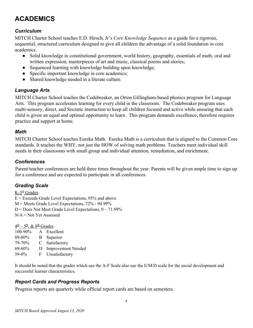# **ACADEMICS**

# *Curriculum*

MITCH Charter School teaches E.D. Hirsch, Jr's *Core Knowledge Sequence* as a guide for a rigorous, sequential, structured curriculum designed to give all children the advantage of a solid foundation in core academics.

- Solid knowledge in constitutional government, world history, geography, essentials of math, oral and written expression, masterpieces of art and music, classical poems and stories;
- Sequenced learning with knowledge building upon knowledge;
- Specific important knowledge in core academics;
- Shared knowledge needed in a literate culture.

## *Language Arts*

MITCH Charter School teaches the Codebreaker, an Orton Gillingham-based phonics program for Language Arts. This program accelerates learning for every child in the classroom. The Codebreaker program uses multi-sensory, direct, and Socratic instruction to keep all children focused and active while ensuring that each child is given an equal and optimal opportunity to learn. This program demands excellence, therefore requires practice and support at home.

#### *Math*

MITCH Charter School teaches Eureka Math. Eureka Math is a curriculum that is aligned to the Common Core standards. It teaches the WHY, not just the HOW of solving math problems. Teachers meet individual skill needs in their classrooms with small group and individual attention, remediation, and enrichment.

# *Conferences*

Parent/teacher conferences are held three times throughout the year. Parents will be given ample time to sign up for a conference and are expected to participate in all conferences.

# *Grading Scale*

K-3<sup>rd</sup> Grades  $E =$  Exceeds Grade Level Expectations, 95% and above M = Meets Grade Level Expectations, 72% - 94.99%  $D = Does Not Meet Grade Level Expectations, 0 - 71.99%$  $N/A = Not Yet Assessed$ 

 $\frac{4^{\underline{th}} - 5^{\underline{th}}$ , &  $8^{\underline{th}}$  Grades

100-90% A Excellent 89-80% B Superior 79-70% C Satisfactory 69-60% D Improvement Needed 59-0% F Unsatisfactory

It should be noted that the grades which use the A-F Scale also use the E/M/D scale for the social development and successful learner characteristics.

# *Report Cards and Progress Reports*

Progress reports are quarterly while official report cards are based on semesters.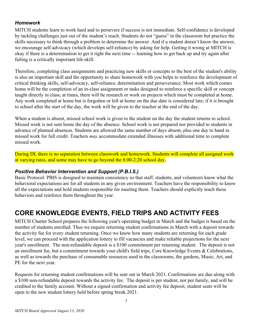#### *Homework*

MITCH students learn to work hard and to persevere if success is not immediate. Self-confidence is developed by tackling challenges just out of the student's reach. Students do not "guess" in the classroom but practice the skills necessary to think through a problem to determine the answer. And if a student doesn't know the answer, we encourage self-advocacy (which develops self-reliance) by asking for help. Getting it wrong at MITCH is okay if there is a determination to get it right the next time -- learning how to get back up and try again after failing is a critically important life-skill.

Therefore, completing class assignments and practicing new skills or concepts to the best of the student's ability is also an important skill and the opportunity to share homework with you helps to reinforce the development of critical thinking skills, self-advocacy, self-reliance, determination and perseverance. Most work which comes home will be the completion of an in-class assignment or tasks designed to reinforce a specific skill or concept taught directly in class; at times, there will be research or work on projects which must be completed at home. Any work completed at home but is forgotten or left at home on the due date is considered late; if it is brought to school after the start of the day, the work will be given to the teacher at the end of the day.

When a student is absent, missed school work is given to the student on the day the student returns to school. Missed work is not sent home the day of the absence. School work is not prepared nor provided to students in advance of planned absences. Students are allowed the same number of days absent, plus one day to hand in missed work for full credit. Teachers *may* accommodate extended illnesses with additional time to complete missed work.

During DL there is no separation between classwork and homework. Students will complete all assigned work at varying rates, and some may have to go beyond the 8:00-2:20 school day.

## *Positive Behavior Intervention and Support (P.B.I.S.)*

Basic Protocol: PBIS is designed to maintain consistency so that staff, students, and volunteers know what the behavioral expectations are for all students in any given environment. Teachers have the responsibility to know all the expectations and hold students responsible for meeting them. Teachers should explicitly teach these behaviors and reinforce them throughout the year.

# **CORE KNOWLEDGE EVENTS, FIELD TRIPS AND ACTIVITY FEES**

MITCH Charter School prepares the following year's operating budget in March and the budget is based on the number of students enrolled. Thus we require returning student confirmations in March with a deposit towards the activity fee for every student returning. Once we know how many students are returning for each grade level, we can proceed with the application lottery to fill vacancies and make reliable projections for the next year's enrollment. The non-refundable deposit is a \$100 commitment per returning student. The deposit is not an enrollment fee, but a commitment towards your child's field trips, Core Knowledge Events & Celebrations, as well as towards the purchase of consumable resources used in the classrooms, the gardens, Music, Art, and PE for the next year.

Requests for returning student confirmations will be sent out in March 2021. Confirmations are due along with a \$100 non-refundable deposit towards the activity fee. The deposit is per student, not per family, and will be credited to the family account. Without a signed confirmation and activity fee deposit, student seats will be open to the new student lottery held before spring break 2021.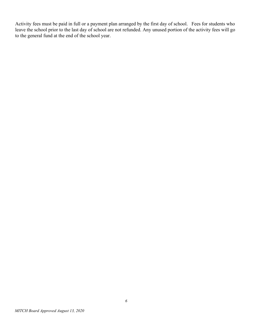Activity fees must be paid in full or a payment plan arranged by the first day of school. Fees for students who leave the school prior to the last day of school are not refunded. Any unused portion of the activity fees will go to the general fund at the end of the school year.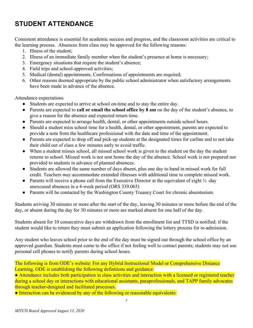# **STUDENT ATTENDANCE**

Consistent attendance is essential for academic success and progress, and the classroom activities are critical to the learning process. Absences from class may be approved for the following reasons:

- 1. Illness of the student;
- 2. Illness of an immediate family member when the student's presence at home is necessary;
- 3. Emergency situations that require the student's absence;
- 4. Field trips and school-approved activities;
- 5. Medical (dental) appointments. Confirmations of appointments are required;
- 6. Other reasons deemed appropriate by the public school administrator when satisfactory arrangements have been made in advance of the absence.

Attendance expectations

- Students are expected to arrive at school on-time and to stay the entire day.
- Parents are expected to **call or email the school office by 8 am** on the day of the student's absence, to give a reason for the absence and expected return time.
- Parents are expected to arrange health, dental, or other appointments outside school hours.
- Should a student miss school time for a health, dental, or other appointment, parents are expected to provide a note from the healthcare professional with the date and time of the appointment.
- Parents are expected to drop off and pick-up students at the designated times for carline and to not take their child out of class a few minutes early to avoid traffic.
- When a student misses school, all missed school work is given to the student on the day the student returns to school. Missed work is not sent home the day of the absence. School work is not prepared nor provided to students in advance of planned absences.
- Students are allowed the same number of days absent, plus one day to hand in missed work for full credit. Teachers *may* accommodate extended illnesses with additional time to complete missed work.
- Parents will receive a phone call from the Executive Director at the equivalent of eight  $\frac{1}{2}$ -day unexcused absences in a 4-week period (ORS 339.065)
- Parents will be contacted by the Washington County Truancy Court for chronic absenteeism.

Students arriving 30 minutes or more after the start of the day, leaving 30 minutes or more before the end of the day, or absent during the day for 30 minutes or more are marked absent for one half of the day.

Students absent for 10 consecutive days are withdrawn from the enrollment list and TTSD is notified; if the student would like to return they must submit an application following the lottery process for re-admission.

Any student who leaves school prior to the end of the day must be signed out through the school office by an approved guardian. Students must come to the office if not feeling well to contact parents; students may not use personal cell phones to notify parents during school hours.

The following is from ODE's website: For any Hybrid Instructional Model or Comprehensive Distance Learning, ODE is establishing the following definitions and guidance:

● Attendance includes both participation in class activities and interaction with a licensed or registered teacher during a school day or interactions with educational assistants, paraprofessionals, and TAPP family advocates through teacher-designed and facilitated processes.

• Interaction can be evidenced by any of the following or reasonable equivalents: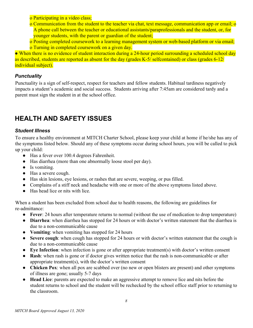o Participating in a video class;

o Communication from the student to the teacher via chat, text message, communication app or email; o A phone call between the teacher or educational assistants/paraprofessionals and the student, or, for younger students, with the parent or guardian of the student;

o Posting completed coursework to a learning management system or web-based platform or via email;

o Turning in completed coursework on a given day.

• When there is no evidence of student interaction during a 24-hour period surrounding a scheduled school day as described, students are reported as absent for the day (grades K-5/ selfcontained) or class (grades 6-12/ individual subject).

## *Punctuality*

Punctuality is a sign of self-respect, respect for teachers and fellow students. Habitual tardiness negatively impacts a student's academic and social success. Students arriving after 7:45am are considered tardy and a parent must sign the student in at the school office.

# **HEALTH AND SAFETY ISSUES**

#### *Student Illness*

To ensure a healthy environment at MITCH Charter School, please keep your child at home if he/she has any of the symptoms listed below. Should any of these symptoms occur during school hours, you will be called to pick up your child:

- Has a fever over 100.4 degrees Fahrenheit.
- Has diarrhea (more than one abnormally loose stool per day).
- Is vomiting.
- Has a severe cough.
- Has skin lesions, eye lesions, or rashes that are severe, weeping, or pus filled.
- Complains of a stiff neck and headache with one or more of the above symptoms listed above.
- Has head lice or nits with lice.

When a student has been excluded from school due to health reasons, the following are guidelines for re-admittance:

- **Fever**: 24 hours after temperature returns to normal (without the use of medication to drop temperature)
- **Diarrhea**: when diarrhea has stopped for 24 hours or with doctor's written statement that the diarrhea is due to a non-communicable cause
- **Vomiting**: when vomiting has stopped for 24 hours
- **Severe cough**: when cough has stopped for 24 hours or with doctor's written statement that the cough is due to a non-communicable cause
- **Eye Infection**: when infection is gone or after appropriate treatment(s) with doctor's written consent
- **Rash**: when rash is gone or if doctor gives written notice that the rash is non-communicable or after appropriate treatment(s), with the doctor's written consent
- **Chicken Pox**: when all pox are scabbed over (no new or open blisters are present) and other symptoms of illness are gone; usually 5-7 days
- **Head Lice**: parents are expected to make an aggressive attempt to remove lice and nits before the student returns to school and the student will be rechecked by the school office staff prior to returning to the classroom.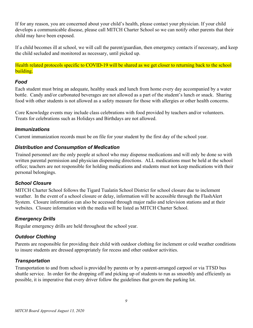If for any reason, you are concerned about your child's health, please contact your physician. If your child develops a communicable disease, please call MITCH Charter School so we can notify other parents that their child may have been exposed.

If a child becomes ill at school, we will call the parent/guardian, then emergency contacts if necessary, and keep the child secluded and monitored as necessary, until picked up.

Health related protocols specific to COVID-19 will be shared as we get closer to returning back to the school building.

#### *Food*

Each student must bring an adequate, healthy snack and lunch from home every day accompanied by a water bottle. Candy and/or carbonated beverages are not allowed as a part of the student's lunch or snack. Sharing food with other students is not allowed as a safety measure for those with allergies or other health concerns.

Core Knowledge events may include class celebrations with food provided by teachers and/or volunteers. Treats for celebrations such as Holidays and Birthdays are not allowed.

#### *Immunizations*

Current immunization records must be on file for your student by the first day of the school year.

#### *Distribution and Consumption of Medication*

Trained personnel are the only people at school who may dispense medications and will only be done so with written parental permission and physician dispensing directions. ALL medications must be held at the school office; teachers are not responsible for holding medications and students must not keep medications with their personal belongings.

#### *School Closure*

MITCH Charter School follows the Tigard Tualatin School District for school closure due to inclement weather. In the event of a school closure or delay, information will be accessible through the FlashAlert System. Closure information can also be accessed through major radio and television stations and at their websites. Closure information with the media will be listed as MITCH Charter School.

#### *Emergency Drills*

Regular emergency drills are held throughout the school year.

## *Outdoor Clothing*

Parents are responsible for providing their child with outdoor clothing for inclement or cold weather conditions to insure students are dressed appropriately for recess and other outdoor activities.

## *Transportation*

Transportation to and from school is provided by parents or by a parent-arranged carpool or via TTSD bus shuttle service. In order for the dropping off and picking up of students to run as smoothly and efficiently as possible, it is imperative that every driver follow the guidelines that govern the parking lot.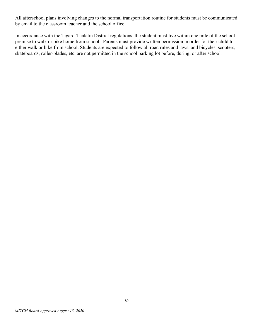All afterschool plans involving changes to the normal transportation routine for students must be communicated by email to the classroom teacher and the school office.

In accordance with the Tigard-Tualatin District regulations, the student must live within one mile of the school premise to walk or bike home from school. Parents must provide written permission in order for their child to either walk or bike from school. Students are expected to follow all road rules and laws, and bicycles, scooters, skateboards, roller-blades, etc. are not permitted in the school parking lot before, during, or after school.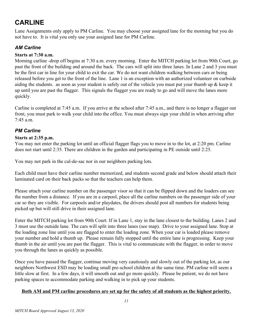# **CARLINE**

Lane Assignments only apply to PM Carline. You may choose your assigned lane for the morning but you do not have to. It is vital you only use your assigned lane for PM Carline.

# *AM Carline*

#### **Starts at 7:30 a.m.**

Morning carline -drop off begins at 7:30 a.m. every morning. Enter the MITCH parking lot from 90th Court, go past the front of the building and around the back. The cars will split into three lanes. In Lane 2 and 3 you must be the first car in line for your child to exit the car. We do not want children walking between cars or being released before you get to the front of the line. Lane 1 is an exception with an authorized volunteer on curbside aiding the students. as soon as your student is safely out of the vehicle you must put your thumb up  $\&$  keep it up until you are past the flagger. This signals the flagger you are ready to go and will move the lanes more quickly.

Carline is completed at 7:45 a.m. If you arrive at the school after 7:45 a.m., and there is no longer a flagger out front, you must park to walk your child into the office. You must always sign your child in when arriving after  $7.45$  a.m.

## *PM Carline*

#### **Starts at 2:35 p.m.**

You may not enter the parking lot until an official flagger flags you to move in to the lot, at 2:20 pm. Carline does not start until 2:35. There are children in the garden and participating in PE outside until 2:25.

You may not park in the cul-de-sac nor in our neighbors parking lots.

Each child must have their carline number memorized, and students second grade and below should attach their laminated card on their back packs so that the teachers can help them.

Please attach your carline number on the passenger visor so that it can be flipped down and the loaders can see the number from a distance. If you are in a carpool, place all the carline numbers on the passenger side of your car so they are visible. For carpools and/or playdates, the drivers should post all numbers for students being picked up but will still drive in their assigned lane.

Enter the MITCH parking lot from 90th Court. If in Lane 1, stay in the lane closest to the building. Lanes 2 and 3 must use the outside lane. The cars will split into three lanes (see map). Drive to your assigned lane. Stop at the loading zone line until you are flagged to enter the loading zone. When your car is loaded please remove your number and hold a thumb up. Please remain fully stopped until the entire lane is progressing. Keep your thumb in the air until you are past the flagger. This is vital to communicate with the flagger, in order to move you through the lanes as quickly as possible.

Once you have passed the flagger, continue moving very cautiously and slowly out of the parking lot, as our neighbors Northwest ESD may be loading small pre-school children at the same time. PM carline will seem a little slow at first. In a few days, it will smooth out and go more quickly. Please be patient, we do not have parking spaces to accommodate parking and walking in to pick up your students.

#### **Both AM and PM carline procedures are set up for the safety of all students as the highest priority.**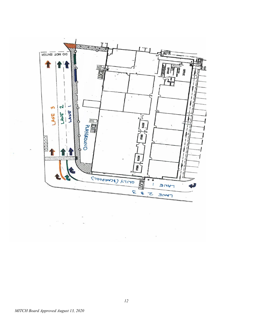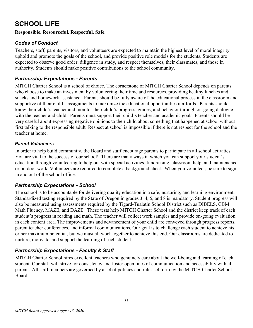# **SCHOOL LIFE**

#### **Responsible. Resourceful. Respectful. Safe.**

# *Codes of Conduct*

Teachers, staff, parents, visitors, and volunteers are expected to maintain the highest level of moral integrity, uphold and promote the goals of the school, and provide positive role models for the students. Students are expected to observe good order, diligence in study, and respect themselves, their classmates, and those in authority. Students should make positive contributions to the school community.

# *Partnership Expectations - Parents*

MITCH Charter School is a school of choice. The cornerstone of MITCH Charter School depends on parents who choose to make an investment by volunteering their time and resources, providing healthy lunches and snacks and homework assistance. Parents should be fully aware of the educational process in the classroom and supportive of their child's assignments to maximize the educational opportunities it affords. Parents should know their child's teacher and monitor their child's progress, grades, and behavior through on-going dialogue with the teacher and child. Parents must support their child's teacher and academic goals. Parents should be very careful about expressing negative opinions to their child about something that happened at school without first talking to the responsible adult. Respect at school is impossible if there is not respect for the school and the teacher at home.

#### *Parent Volunteers*

In order to help build community, the Board and staff encourage parents to participate in all school activities. You are vital to the success of our school! There are many ways in which you can support your student's education through volunteering to help out with special activities, fundraising, classroom help, and maintenance or outdoor work. Volunteers are required to complete a background check. When you volunteer, be sure to sign in and out of the school office.

## *Partnership Expectations - School*

The school is to be accountable for delivering quality education in a safe, nurturing, and learning environment. Standardized testing required by the State of Oregon in grades 3, 4, 5, and 8 is mandatory. Student progress will also be measured using assessments required by the Tigard-Tualatin School District such as DIBELS, CBM Math Fluency, MAZE, and DAZE. These tests help MITCH Charter School and the district keep track of each student's progress in reading and math. The teacher will collect work samples and provide on-going evaluation in each content area. The improvements and advancement of your child are conveyed through progress reports, parent teacher conferences, and informal communications. Our goal is to challenge each student to achieve his or her maximum potential, but we must all work together to achieve this end. Our classrooms are dedicated to nurture, motivate, and support the learning of each student.

# *Partnership Expectations - Faculty & Staff*

MITCH Charter School hires excellent teachers who genuinely care about the well-being and learning of each student. Our staff will strive for consistency and foster open lines of communication and accessibility with all parents. All staff members are governed by a set of policies and rules set forth by the MITCH Charter School Board.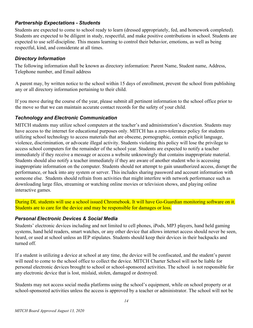#### *Partnership Expectations - Students*

Students are expected to come to school ready to learn (dressed appropriately, fed, and homework completed). Students are expected to be diligent in study, respectful, and make positive contributions in school. Students are expected to use self-discipline. This means learning to control their behavior, emotions, as well as being respectful, kind, and considerate at all times.

#### *Directory Information*

The following information shall be known as directory information: Parent Name, Student name, Address, Telephone number, and Email address

A parent may, by written notice to the school within 15 days of enrollment, prevent the school from publishing any or all directory information pertaining to their child.

If you move during the course of the year, please submit all pertinent information to the school office prior to the move so that we can maintain accurate contact records for the safety of your child.

#### *Technology and Electronic Communication*

MITCH students may utilize school computers at the teacher's and administration's discretion. Students may have access to the internet for educational purposes only. MITCH has a zero-tolerance policy for students utilizing school technology to access materials that are obscene, pornographic, contain explicit language, violence, discrimination, or advocate illegal activity. Students violating this policy will lose the privilege to access school computers for the remainder of the school year. Students are expected to notify a teacher immediately if they receive a message or access a website unknowingly that contains inappropriate material. Students should also notify a teacher immediately if they are aware of another student who is accessing inappropriate information on the computer. Students should not attempt to gain unauthorized access, disrupt the performance, or hack into any system or server. This includes sharing password and account information with someone else. Students should refrain from activities that might interfere with network performance such as downloading large files, streaming or watching online movies or television shows, and playing online interactive games.

During DL students will use a school issued Chromebook. It will have Go-Guardian monitoring software on it. Students are to care for the device and may be responsible for damages or loss.

#### *Personal Electronic Devices & Social Media*

Students' electronic devices including and not limited to cell phones, iPods, MP3 players, hand held gaming systems, hand held readers, smart watches, or any other device that allows internet access should never be seen, heard, or used at school unless an IEP stipulates. Students should keep their devices in their backpacks and turned off.

If a student is utilizing a device at school at any time, the device will be confiscated, and the student's parent will need to come to the school office to collect the device. MITCH Charter School will not be liable for personal electronic devices brought to school or school-sponsored activities. The school is not responsible for any electronic device that is lost, mislaid, stolen, damaged or destroyed.

Students may not access social media platforms using the school's equipment, while on school property or at school-sponsored activities unless the access is approved by a teacher or administrator. The school will not be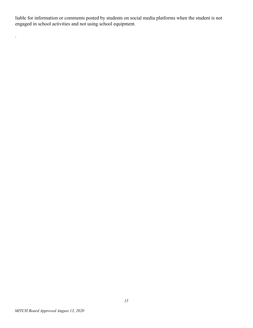liable for information or comments posted by students on social media platforms when the student is not engaged in school activities and not using school equipment.

.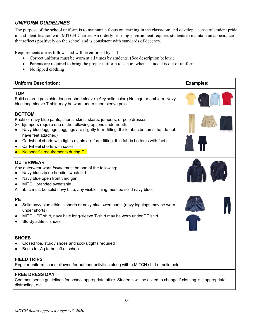## *UNIFORM GUIDELINES*

The purpose of the school uniform is to maintain a focus on learning in the classroom and develop a sense of student pride in and identification with MITCH Charter. An orderly learning environment requires students to maintain an appearance that reflects positively on the school and is consistent with standards of decency.

Requirements are as follows and will be enforced by staff:

- Correct uniform must be worn at all times by students. (See description below.)
- Parents are required to bring the proper uniform to school when a student is out of uniform.
- No ripped clothing

| <b>Uniform Description:</b>                                                                                                                                                                                                                                                                                                                                                                                                                                                            | <b>Examples:</b> |
|----------------------------------------------------------------------------------------------------------------------------------------------------------------------------------------------------------------------------------------------------------------------------------------------------------------------------------------------------------------------------------------------------------------------------------------------------------------------------------------|------------------|
| <b>TOP</b><br>Solid colored polo shirt, long or short sleeve. (Any solid color.) No logo or emblem. Navy<br>blue long-sleeve T-shirt may be worn under short sleeve polo.                                                                                                                                                                                                                                                                                                              |                  |
| <b>BOTTOM</b><br>Khaki or navy blue pants, shorts, skirts, skorts, jumpers, or polo dresses.<br>Skirt/jumpers require one of the following options underneath:<br>Navy blue leggings (leggings are slightly form-fitting, thick fabric bottoms that do not<br>have feet attached)<br>Cartwheel shorts with tights (tights are form fitting, thin fabric bottoms with feet)<br>$\bullet$<br>Cartwheel shorts with socks<br>$\bullet$<br>No specific requirements during DL<br>$\bullet$ |                  |
| <b>OUTERWEAR</b><br>Any outerwear worn inside must be one of the following:<br>Navy blue zip up hoodie sweatshirt<br>Navy blue open front cardigan<br>$\bullet$<br><b>MITCH branded sweatshirt</b><br>All fabric must be solid navy blue, any visible lining must be solid navy blue.                                                                                                                                                                                                  |                  |
| <b>PE</b><br>Solid navy blue athletic shorts or navy blue sweatpants (navy leggings may be worn<br>$\bullet$<br>under shorts)<br>MITCH PE shirt, navy blue long-sleeve T-shirt may be worn under PE shirt<br>$\bullet$<br>Sturdy athletic shoes                                                                                                                                                                                                                                        |                  |
| <b>SHOES</b><br>Closed toe, sturdy shoes and socks/tights required<br>Boots for Ag to be left at school                                                                                                                                                                                                                                                                                                                                                                                |                  |
| <b>FIELD TRIPS</b><br>Regular uniform; jeans allowed for outdoor activities along with a MITCH shirt or solid polo.                                                                                                                                                                                                                                                                                                                                                                    |                  |
| <b>FREE DRESS DAY</b><br>Common sense guidelines for school appropriate attire. Students will be asked to change if clothing is inappropriate,<br>distracting, etc.                                                                                                                                                                                                                                                                                                                    |                  |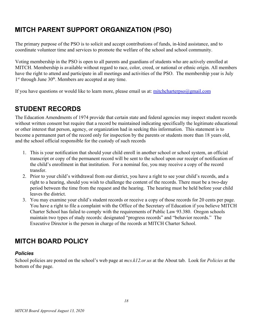# **MITCH PARENT SUPPORT ORGANIZATION (PSO)**

The primary purpose of the PSO is to solicit and accept contributions of funds, in-kind assistance, and to coordinate volunteer time and services to promote the welfare of the school and school community.

Voting membership in the PSO is open to all parents and guardians of students who are actively enrolled at MITCH. Membership is available without regard to race, color, creed, or national or ethnic origin. All members have the right to attend and participate in all meetings and activities of the PSO. The membership year is July 1<sup>st</sup> through June 30<sup>th</sup>. Members are accepted at any time.

If you have questions or would like to learn more, please email us at: mitchcharterpso $\omega$ gmail.com

# **STUDENT RECORDS**

The Education Amendments of 1974 provide that certain state and federal agencies may inspect student records without written consent but require that a record be maintained indicating specifically the legitimate educational or other interest that person, agency, or organization had in seeking this information. This statement is to become a permanent part of the record only for inspection by the parents or students more than 18 years old, and the school official responsible for the custody of such records

- 1. This is your notification that should your child enroll in another school or school system, an official transcript or copy of the permanent record will be sent to the school upon our receipt of notification of the child's enrollment in that institution. For a nominal fee, you may receive a copy of the record transfer.
- 2. Prior to your child's withdrawal from our district, you have a right to see your child's records, and a right to a hearing, should you wish to challenge the content of the records. There must be a two-day period between the time from the request and the hearing. The hearing must be held before your child leaves the district.
- 3. You may examine your child's student records or receive a copy of those records for 20 cents per page. You have a right to file a complaint with the Office of the Secretary of Education if you believe MITCH Charter School has failed to comply with the requirements of Public Law 93.380. Oregon schools maintain two types of study records: designated "progress records" and "behavior records." The Executive Director is the person in charge of the records at MITCH Charter School.

# **MITCH BOARD POLICY**

#### *Policies*

School policies are posted on the school's web page at *mcs.k12.or.us* at the About tab. Look for *Policies* at the bottom of the page.